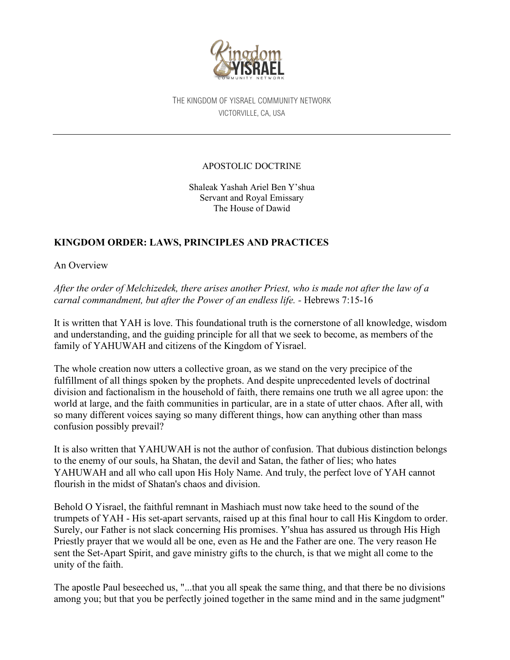

THE KINGDOM OF YISRAEL COMMUNITY NETWORK VICTORVILLE, CA, USA

#### APOSTOLIC DOCTRINE

Shaleak Yashah Ariel Ben Y'shua Servant and Royal Emissary The House of Dawid

# **KINGDOM ORDER: LAWS, PRINCIPLES AND PRACTICES**

An Overview

*After the order of Melchizedek, there arises another Priest, who is made not after the law of a carnal commandment, but after the Power of an endless life. -* Hebrews 7:15-16

It is written that YAH is love. This foundational truth is the cornerstone of all knowledge, wisdom and understanding, and the guiding principle for all that we seek to become, as members of the family of YAHUWAH and citizens of the Kingdom of Yisrael.

The whole creation now utters a collective groan, as we stand on the very precipice of the fulfillment of all things spoken by the prophets. And despite unprecedented levels of doctrinal division and factionalism in the household of faith, there remains one truth we all agree upon: the world at large, and the faith communities in particular, are in a state of utter chaos. After all, with so many different voices saying so many different things, how can anything other than mass confusion possibly prevail?

It is also written that YAHUWAH is not the author of confusion. That dubious distinction belongs to the enemy of our souls, ha Shatan, the devil and Satan, the father of lies; who hates YAHUWAH and all who call upon His Holy Name. And truly, the perfect love of YAH cannot flourish in the midst of Shatan's chaos and division.

Behold O Yisrael, the faithful remnant in Mashiach must now take heed to the sound of the trumpets of YAH - His set-apart servants, raised up at this final hour to call His Kingdom to order. Surely, our Father is not slack concerning His promises. Y'shua has assured us through His High Priestly prayer that we would all be one, even as He and the Father are one. The very reason He sent the Set-Apart Spirit, and gave ministry gifts to the church, is that we might all come to the unity of the faith.

The apostle Paul beseeched us, "...that you all speak the same thing, and that there be no divisions among you; but that you be perfectly joined together in the same mind and in the same judgment"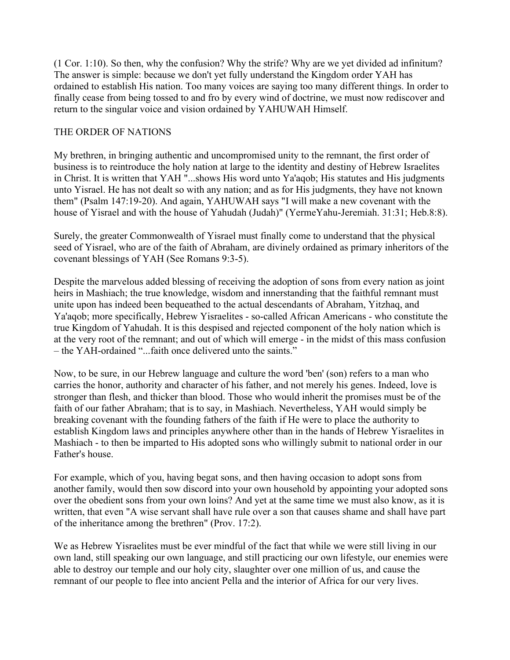(1 Cor. 1:10). So then, why the confusion? Why the strife? Why are we yet divided ad infinitum? The answer is simple: because we don't yet fully understand the Kingdom order YAH has ordained to establish His nation. Too many voices are saying too many different things. In order to finally cease from being tossed to and fro by every wind of doctrine, we must now rediscover and return to the singular voice and vision ordained by YAHUWAH Himself.

## THE ORDER OF NATIONS

My brethren, in bringing authentic and uncompromised unity to the remnant, the first order of business is to reintroduce the holy nation at large to the identity and destiny of Hebrew Israelites in Christ. It is written that YAH "...shows His word unto Ya'aqob; His statutes and His judgments unto Yisrael. He has not dealt so with any nation; and as for His judgments, they have not known them" (Psalm 147:19-20). And again, YAHUWAH says "I will make a new covenant with the house of Yisrael and with the house of Yahudah (Judah)" (YermeYahu-Jeremiah. 31:31; Heb.8:8).

Surely, the greater Commonwealth of Yisrael must finally come to understand that the physical seed of Yisrael, who are of the faith of Abraham, are divinely ordained as primary inheritors of the covenant blessings of YAH (See Romans 9:3-5).

Despite the marvelous added blessing of receiving the adoption of sons from every nation as joint heirs in Mashiach; the true knowledge, wisdom and innerstanding that the faithful remnant must unite upon has indeed been bequeathed to the actual descendants of Abraham, Yitzhaq, and Ya'aqob; more specifically, Hebrew Yisraelites - so-called African Americans - who constitute the true Kingdom of Yahudah. It is this despised and rejected component of the holy nation which is at the very root of the remnant; and out of which will emerge - in the midst of this mass confusion – the YAH-ordained "...faith once delivered unto the saints."

Now, to be sure, in our Hebrew language and culture the word 'ben' (son) refers to a man who carries the honor, authority and character of his father, and not merely his genes. Indeed, love is stronger than flesh, and thicker than blood. Those who would inherit the promises must be of the faith of our father Abraham; that is to say, in Mashiach. Nevertheless, YAH would simply be breaking covenant with the founding fathers of the faith if He were to place the authority to establish Kingdom laws and principles anywhere other than in the hands of Hebrew Yisraelites in Mashiach - to then be imparted to His adopted sons who willingly submit to national order in our Father's house.

For example, which of you, having begat sons, and then having occasion to adopt sons from another family, would then sow discord into your own household by appointing your adopted sons over the obedient sons from your own loins? And yet at the same time we must also know, as it is written, that even "A wise servant shall have rule over a son that causes shame and shall have part of the inheritance among the brethren" (Prov. 17:2).

We as Hebrew Yisraelites must be ever mindful of the fact that while we were still living in our own land, still speaking our own language, and still practicing our own lifestyle, our enemies were able to destroy our temple and our holy city, slaughter over one million of us, and cause the remnant of our people to flee into ancient Pella and the interior of Africa for our very lives.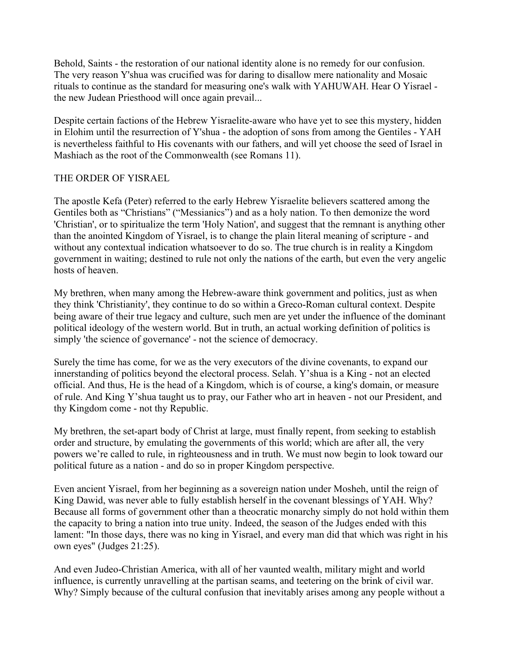Behold, Saints - the restoration of our national identity alone is no remedy for our confusion. The very reason Y'shua was crucified was for daring to disallow mere nationality and Mosaic rituals to continue as the standard for measuring one's walk with YAHUWAH. Hear O Yisrael the new Judean Priesthood will once again prevail...

Despite certain factions of the Hebrew Yisraelite-aware who have yet to see this mystery, hidden in Elohim until the resurrection of Y'shua - the adoption of sons from among the Gentiles - YAH is nevertheless faithful to His covenants with our fathers, and will yet choose the seed of Israel in Mashiach as the root of the Commonwealth (see Romans 11).

#### THE ORDER OF YISRAEL

The apostle Kefa (Peter) referred to the early Hebrew Yisraelite believers scattered among the Gentiles both as "Christians" ("Messianics") and as a holy nation. To then demonize the word 'Christian', or to spiritualize the term 'Holy Nation', and suggest that the remnant is anything other than the anointed Kingdom of Yisrael, is to change the plain literal meaning of scripture - and without any contextual indication whatsoever to do so. The true church is in reality a Kingdom government in waiting; destined to rule not only the nations of the earth, but even the very angelic hosts of heaven.

My brethren, when many among the Hebrew-aware think government and politics, just as when they think 'Christianity', they continue to do so within a Greco-Roman cultural context. Despite being aware of their true legacy and culture, such men are yet under the influence of the dominant political ideology of the western world. But in truth, an actual working definition of politics is simply 'the science of governance' - not the science of democracy.

Surely the time has come, for we as the very executors of the divine covenants, to expand our innerstanding of politics beyond the electoral process. Selah. Y'shua is a King - not an elected official. And thus, He is the head of a Kingdom, which is of course, a king's domain, or measure of rule. And King Y'shua taught us to pray, our Father who art in heaven - not our President, and thy Kingdom come - not thy Republic.

My brethren, the set-apart body of Christ at large, must finally repent, from seeking to establish order and structure, by emulating the governments of this world; which are after all, the very powers we're called to rule, in righteousness and in truth. We must now begin to look toward our political future as a nation - and do so in proper Kingdom perspective.

Even ancient Yisrael, from her beginning as a sovereign nation under Mosheh, until the reign of King Dawid, was never able to fully establish herself in the covenant blessings of YAH. Why? Because all forms of government other than a theocratic monarchy simply do not hold within them the capacity to bring a nation into true unity. Indeed, the season of the Judges ended with this lament: "In those days, there was no king in Yisrael, and every man did that which was right in his own eyes" (Judges 21:25).

And even Judeo-Christian America, with all of her vaunted wealth, military might and world influence, is currently unravelling at the partisan seams, and teetering on the brink of civil war. Why? Simply because of the cultural confusion that inevitably arises among any people without a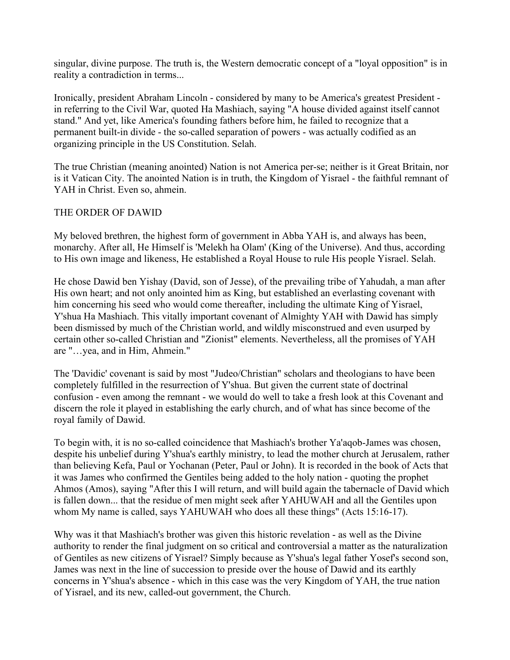singular, divine purpose. The truth is, the Western democratic concept of a "loyal opposition" is in reality a contradiction in terms...

Ironically, president Abraham Lincoln - considered by many to be America's greatest President in referring to the Civil War, quoted Ha Mashiach, saying "A house divided against itself cannot stand." And yet, like America's founding fathers before him, he failed to recognize that a permanent built-in divide - the so-called separation of powers - was actually codified as an organizing principle in the US Constitution. Selah.

The true Christian (meaning anointed) Nation is not America per-se; neither is it Great Britain, nor is it Vatican City. The anointed Nation is in truth, the Kingdom of Yisrael - the faithful remnant of YAH in Christ. Even so, ahmein.

#### THE ORDER OF DAWID

My beloved brethren, the highest form of government in Abba YAH is, and always has been, monarchy. After all, He Himself is 'Melekh ha Olam' (King of the Universe). And thus, according to His own image and likeness, He established a Royal House to rule His people Yisrael. Selah.

He chose Dawid ben Yishay (David, son of Jesse), of the prevailing tribe of Yahudah, a man after His own heart; and not only anointed him as King, but established an everlasting covenant with him concerning his seed who would come thereafter, including the ultimate King of Yisrael, Y'shua Ha Mashiach. This vitally important covenant of Almighty YAH with Dawid has simply been dismissed by much of the Christian world, and wildly misconstrued and even usurped by certain other so-called Christian and "Zionist" elements. Nevertheless, all the promises of YAH are "…yea, and in Him, Ahmein."

The 'Davidic' covenant is said by most "Judeo/Christian" scholars and theologians to have been completely fulfilled in the resurrection of Y'shua. But given the current state of doctrinal confusion - even among the remnant - we would do well to take a fresh look at this Covenant and discern the role it played in establishing the early church, and of what has since become of the royal family of Dawid.

To begin with, it is no so-called coincidence that Mashiach's brother Ya'aqob-James was chosen, despite his unbelief during Y'shua's earthly ministry, to lead the mother church at Jerusalem, rather than believing Kefa, Paul or Yochanan (Peter, Paul or John). It is recorded in the book of Acts that it was James who confirmed the Gentiles being added to the holy nation - quoting the prophet Ahmos (Amos), saying "After this I will return, and will build again the tabernacle of David which is fallen down... that the residue of men might seek after YAHUWAH and all the Gentiles upon whom My name is called, says YAHUWAH who does all these things" (Acts 15:16-17).

Why was it that Mashiach's brother was given this historic revelation - as well as the Divine authority to render the final judgment on so critical and controversial a matter as the naturalization of Gentiles as new citizens of Yisrael? Simply because as Y'shua's legal father Yosef's second son, James was next in the line of succession to preside over the house of Dawid and its earthly concerns in Y'shua's absence - which in this case was the very Kingdom of YAH, the true nation of Yisrael, and its new, called-out government, the Church.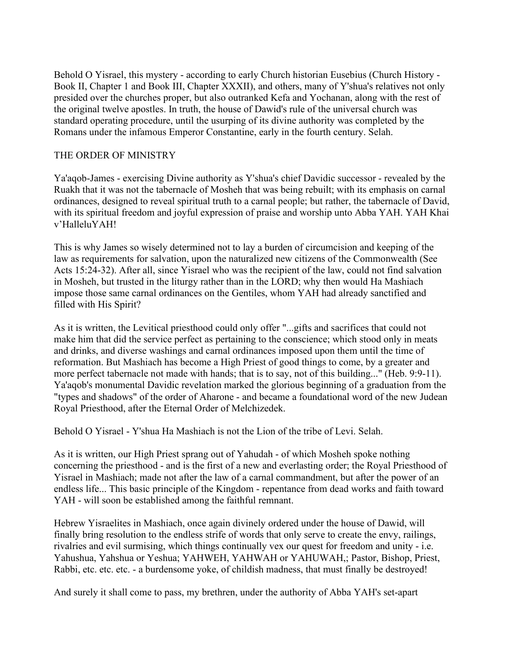Behold O Yisrael, this mystery - according to early Church historian Eusebius (Church History - Book II, Chapter 1 and Book III, Chapter XXXII), and others, many of Y'shua's relatives not only presided over the churches proper, but also outranked Kefa and Yochanan, along with the rest of the original twelve apostles. In truth, the house of Dawid's rule of the universal church was standard operating procedure, until the usurping of its divine authority was completed by the Romans under the infamous Emperor Constantine, early in the fourth century. Selah.

## THE ORDER OF MINISTRY

Ya'aqob-James - exercising Divine authority as Y'shua's chief Davidic successor - revealed by the Ruakh that it was not the tabernacle of Mosheh that was being rebuilt; with its emphasis on carnal ordinances, designed to reveal spiritual truth to a carnal people; but rather, the tabernacle of David, with its spiritual freedom and joyful expression of praise and worship unto Abba YAH. YAH Khai v'HalleluYAH!

This is why James so wisely determined not to lay a burden of circumcision and keeping of the law as requirements for salvation, upon the naturalized new citizens of the Commonwealth (See Acts 15:24-32). After all, since Yisrael who was the recipient of the law, could not find salvation in Mosheh, but trusted in the liturgy rather than in the LORD; why then would Ha Mashiach impose those same carnal ordinances on the Gentiles, whom YAH had already sanctified and filled with His Spirit?

As it is written, the Levitical priesthood could only offer "...gifts and sacrifices that could not make him that did the service perfect as pertaining to the conscience; which stood only in meats and drinks, and diverse washings and carnal ordinances imposed upon them until the time of reformation. But Mashiach has become a High Priest of good things to come, by a greater and more perfect tabernacle not made with hands; that is to say, not of this building..." (Heb. 9:9-11). Ya'aqob's monumental Davidic revelation marked the glorious beginning of a graduation from the "types and shadows" of the order of Aharone - and became a foundational word of the new Judean Royal Priesthood, after the Eternal Order of Melchizedek.

Behold O Yisrael - Y'shua Ha Mashiach is not the Lion of the tribe of Levi. Selah.

As it is written, our High Priest sprang out of Yahudah - of which Mosheh spoke nothing concerning the priesthood - and is the first of a new and everlasting order; the Royal Priesthood of Yisrael in Mashiach; made not after the law of a carnal commandment, but after the power of an endless life... This basic principle of the Kingdom - repentance from dead works and faith toward YAH - will soon be established among the faithful remnant.

Hebrew Yisraelites in Mashiach, once again divinely ordered under the house of Dawid, will finally bring resolution to the endless strife of words that only serve to create the envy, railings, rivalries and evil surmising, which things continually vex our quest for freedom and unity - i.e. Yahushua, Yahshua or Yeshua; YAHWEH, YAHWAH or YAHUWAH,; Pastor, Bishop, Priest, Rabbi, etc. etc. etc. - a burdensome yoke, of childish madness, that must finally be destroyed!

And surely it shall come to pass, my brethren, under the authority of Abba YAH's set-apart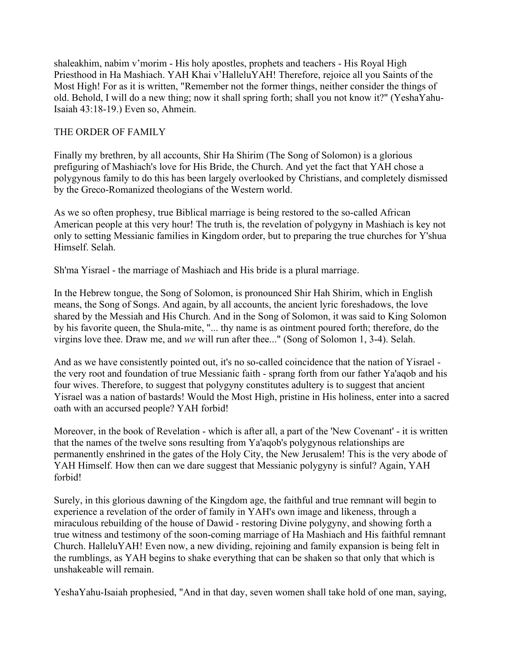shaleakhim, nabim v'morim - His holy apostles, prophets and teachers - His Royal High Priesthood in Ha Mashiach. YAH Khai v'HalleluYAH! Therefore, rejoice all you Saints of the Most High! For as it is written, "Remember not the former things, neither consider the things of old. Behold, I will do a new thing; now it shall spring forth; shall you not know it?" (YeshaYahu-Isaiah 43:18-19.) Even so, Ahmein.

## THE ORDER OF FAMILY

Finally my brethren, by all accounts, Shir Ha Shirim (The Song of Solomon) is a glorious prefiguring of Mashiach's love for His Bride, the Church. And yet the fact that YAH chose a polygynous family to do this has been largely overlooked by Christians, and completely dismissed by the Greco-Romanized theologians of the Western world.

As we so often prophesy, true Biblical marriage is being restored to the so-called African American people at this very hour! The truth is, the revelation of polygyny in Mashiach is key not only to setting Messianic families in Kingdom order, but to preparing the true churches for Y'shua Himself. Selah.

Sh'ma Yisrael - the marriage of Mashiach and His bride is a plural marriage.

In the Hebrew tongue, the Song of Solomon, is pronounced Shir Hah Shirim, which in English means, the Song of Songs. And again, by all accounts, the ancient lyric foreshadows, the love shared by the Messiah and His Church. And in the Song of Solomon, it was said to King Solomon by his favorite queen, the Shula-mite, "... thy name is as ointment poured forth; therefore, do the virgins love thee. Draw me, and *we* will run after thee..." (Song of Solomon 1, 3-4). Selah.

And as we have consistently pointed out, it's no so-called coincidence that the nation of Yisrael the very root and foundation of true Messianic faith - sprang forth from our father Ya'aqob and his four wives. Therefore, to suggest that polygyny constitutes adultery is to suggest that ancient Yisrael was a nation of bastards! Would the Most High, pristine in His holiness, enter into a sacred oath with an accursed people? YAH forbid!

Moreover, in the book of Revelation - which is after all, a part of the 'New Covenant' - it is written that the names of the twelve sons resulting from Ya'aqob's polygynous relationships are permanently enshrined in the gates of the Holy City, the New Jerusalem! This is the very abode of YAH Himself. How then can we dare suggest that Messianic polygyny is sinful? Again, YAH forbid!

Surely, in this glorious dawning of the Kingdom age, the faithful and true remnant will begin to experience a revelation of the order of family in YAH's own image and likeness, through a miraculous rebuilding of the house of Dawid - restoring Divine polygyny, and showing forth a true witness and testimony of the soon-coming marriage of Ha Mashiach and His faithful remnant Church. HalleluYAH! Even now, a new dividing, rejoining and family expansion is being felt in the rumblings, as YAH begins to shake everything that can be shaken so that only that which is unshakeable will remain.

YeshaYahu-Isaiah prophesied, "And in that day, seven women shall take hold of one man, saying,